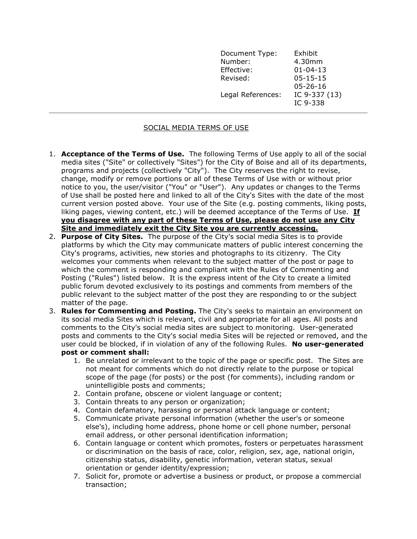| Document Type:    | Exhibit                   |
|-------------------|---------------------------|
| Number:           | 4.30mm                    |
| Effective:        | $01 - 04 - 13$            |
| Revised:          | $05 - 15 - 15$            |
|                   | $05 - 26 - 16$            |
| Legal References: | IC 9-337 (13)<br>IC 9-338 |

## SOCIAL MEDIA TERMS OF USE

- 1. Acceptance of the Terms of Use. The following Terms of Use apply to all of the social media sites ("Site" or collectively "Sites") for the City of Boise and all of its departments, programs and projects (collectively "City"). The City reserves the right to revise, change, modify or remove portions or all of these Terms of Use with or without prior notice to you, the user/visitor ("You" or "User"). Any updates or changes to the Terms of Use shall be posted here and linked to all of the City's Sites with the date of the most current version posted above. Your use of the Site (e.g. posting comments, liking posts, liking pages, viewing content, etc.) will be deemed acceptance of the Terms of Use. **If** you disagree with any part of these Terms of Use, please do not use any City Site and immediately exit the City Site you are currently accessing.
- 2. Purpose of City Sites. The purpose of the City's social media Sites is to provide platforms by which the City may communicate matters of public interest concerning the City's programs, activities, new stories and photographs to its citizenry. The City welcomes your comments when relevant to the subject matter of the post or page to which the comment is responding and compliant with the Rules of Commenting and Posting ("Rules") listed below. It is the express intent of the City to create a limited public forum devoted exclusively to its postings and comments from members of the public relevant to the subject matter of the post they are responding to or the subject matter of the page.
- 3. Rules for Commenting and Posting. The City's seeks to maintain an environment on its social media Sites which is relevant, civil and appropriate for all ages. All posts and comments to the City's social media sites are subject to monitoring. User-generated posts and comments to the City's social media Sites will be rejected or removed, and the user could be blocked, if in violation of any of the following Rules. No user-generated post or comment shall:
	- 1. Be unrelated or irrelevant to the topic of the page or specific post. The Sites are not meant for comments which do not directly relate to the purpose or topical scope of the page (for posts) or the post (for comments), including random or unintelligible posts and comments;
	- 2. Contain profane, obscene or violent language or content;
	- 3. Contain threats to any person or organization;
	- 4. Contain defamatory, harassing or personal attack language or content;
	- 5. Communicate private personal information (whether the user's or someone else's), including home address, phone home or cell phone number, personal email address, or other personal identification information;
	- 6. Contain language or content which promotes, fosters or perpetuates harassment or discrimination on the basis of race, color, religion, sex, age, national origin, citizenship status, disability, genetic information, veteran status, sexual orientation or gender identity/expression;
	- 7. Solicit for, promote or advertise a business or product, or propose a commercial transaction;